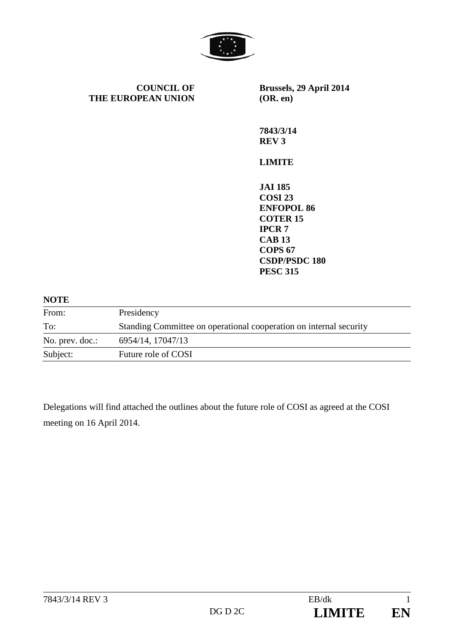

**COUNCIL OF THE EUROPEAN UNION** **Brussels, 29 April 2014 (OR. en)** 

**7843/3/14 REV 3** 

**LIMITE** 

**JAI 185 COSI 23 ENFOPOL 86 COTER 15 IPCR 7 CAB 13 COPS 67 CSDP/PSDC 180 PESC 315** 

### **NOTE**

| From:           | Presidency                                                         |
|-----------------|--------------------------------------------------------------------|
| To:             | Standing Committee on operational cooperation on internal security |
| No. prev. doc.: | 6954/14, 17047/13                                                  |
| Subject:        | Future role of COSI                                                |

Delegations will find attached the outlines about the future role of COSI as agreed at the COSI meeting on 16 April 2014.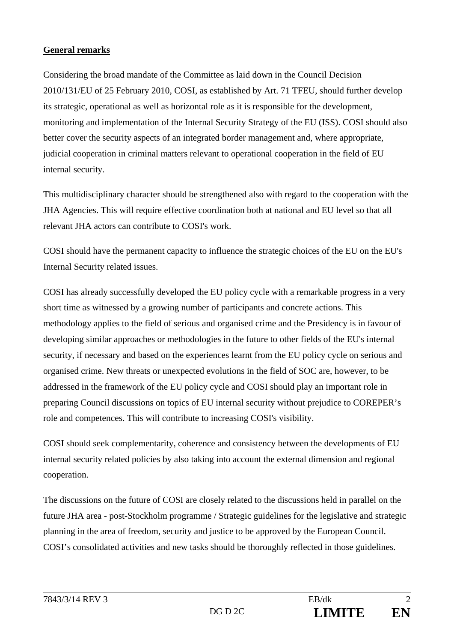# **General remarks**

Considering the broad mandate of the Committee as laid down in the Council Decision 2010/131/EU of 25 February 2010, COSI, as established by Art. 71 TFEU, should further develop its strategic, operational as well as horizontal role as it is responsible for the development, monitoring and implementation of the Internal Security Strategy of the EU (ISS). COSI should also better cover the security aspects of an integrated border management and, where appropriate, judicial cooperation in criminal matters relevant to operational cooperation in the field of EU internal security.

This multidisciplinary character should be strengthened also with regard to the cooperation with the JHA Agencies. This will require effective coordination both at national and EU level so that all relevant JHA actors can contribute to COSI's work.

COSI should have the permanent capacity to influence the strategic choices of the EU on the EU's Internal Security related issues.

COSI has already successfully developed the EU policy cycle with a remarkable progress in a very short time as witnessed by a growing number of participants and concrete actions. This methodology applies to the field of serious and organised crime and the Presidency is in favour of developing similar approaches or methodologies in the future to other fields of the EU's internal security, if necessary and based on the experiences learnt from the EU policy cycle on serious and organised crime. New threats or unexpected evolutions in the field of SOC are, however, to be addressed in the framework of the EU policy cycle and COSI should play an important role in preparing Council discussions on topics of EU internal security without prejudice to COREPER's role and competences. This will contribute to increasing COSI's visibility.

COSI should seek complementarity, coherence and consistency between the developments of EU internal security related policies by also taking into account the external dimension and regional cooperation.

The discussions on the future of COSI are closely related to the discussions held in parallel on the future JHA area - post-Stockholm programme / Strategic guidelines for the legislative and strategic planning in the area of freedom, security and justice to be approved by the European Council. COSI's consolidated activities and new tasks should be thoroughly reflected in those guidelines.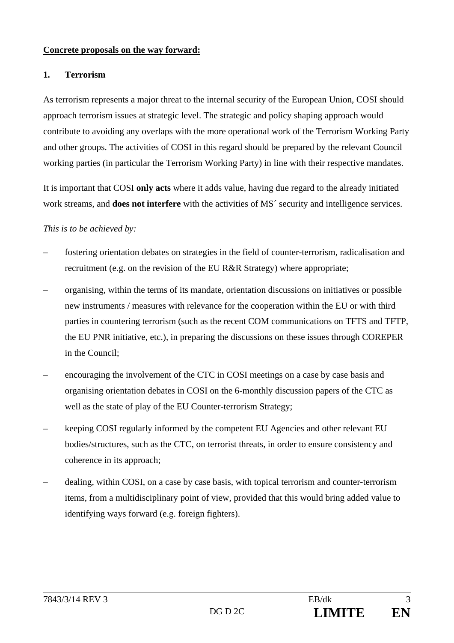## **Concrete proposals on the way forward:**

#### **1. Terrorism**

As terrorism represents a major threat to the internal security of the European Union, COSI should approach terrorism issues at strategic level. The strategic and policy shaping approach would contribute to avoiding any overlaps with the more operational work of the Terrorism Working Party and other groups. The activities of COSI in this regard should be prepared by the relevant Council working parties (in particular the Terrorism Working Party) in line with their respective mandates.

It is important that COSI **only acts** where it adds value, having due regard to the already initiated work streams, and **does not interfere** with the activities of MS<sup> $\prime$ </sup> security and intelligence services.

#### *This is to be achieved by:*

- fostering orientation debates on strategies in the field of counter-terrorism, radicalisation and recruitment (e.g. on the revision of the EU R&R Strategy) where appropriate;
- organising, within the terms of its mandate, orientation discussions on initiatives or possible new instruments / measures with relevance for the cooperation within the EU or with third parties in countering terrorism (such as the recent COM communications on TFTS and TFTP, the EU PNR initiative, etc.), in preparing the discussions on these issues through COREPER in the Council;
- encouraging the involvement of the CTC in COSI meetings on a case by case basis and organising orientation debates in COSI on the 6-monthly discussion papers of the CTC as well as the state of play of the EU Counter-terrorism Strategy;
- keeping COSI regularly informed by the competent EU Agencies and other relevant EU bodies/structures, such as the CTC, on terrorist threats, in order to ensure consistency and coherence in its approach;
- dealing, within COSI, on a case by case basis, with topical terrorism and counter-terrorism items, from a multidisciplinary point of view, provided that this would bring added value to identifying ways forward (e.g. foreign fighters).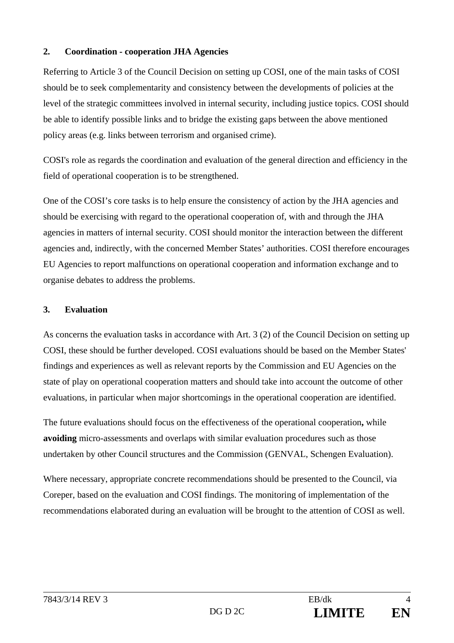# **2. Coordination - cooperation JHA Agencies**

Referring to Article 3 of the Council Decision on setting up COSI, one of the main tasks of COSI should be to seek complementarity and consistency between the developments of policies at the level of the strategic committees involved in internal security, including justice topics. COSI should be able to identify possible links and to bridge the existing gaps between the above mentioned policy areas (e.g. links between terrorism and organised crime).

COSI's role as regards the coordination and evaluation of the general direction and efficiency in the field of operational cooperation is to be strengthened.

One of the COSI's core tasks is to help ensure the consistency of action by the JHA agencies and should be exercising with regard to the operational cooperation of, with and through the JHA agencies in matters of internal security. COSI should monitor the interaction between the different agencies and, indirectly, with the concerned Member States' authorities. COSI therefore encourages EU Agencies to report malfunctions on operational cooperation and information exchange and to organise debates to address the problems.

## **3. Evaluation**

As concerns the evaluation tasks in accordance with Art. 3 (2) of the Council Decision on setting up COSI, these should be further developed. COSI evaluations should be based on the Member States' findings and experiences as well as relevant reports by the Commission and EU Agencies on the state of play on operational cooperation matters and should take into account the outcome of other evaluations, in particular when major shortcomings in the operational cooperation are identified.

The future evaluations should focus on the effectiveness of the operational cooperation**,** while **avoiding** micro-assessments and overlaps with similar evaluation procedures such as those undertaken by other Council structures and the Commission (GENVAL, Schengen Evaluation).

Where necessary, appropriate concrete recommendations should be presented to the Council, via Coreper, based on the evaluation and COSI findings. The monitoring of implementation of the recommendations elaborated during an evaluation will be brought to the attention of COSI as well.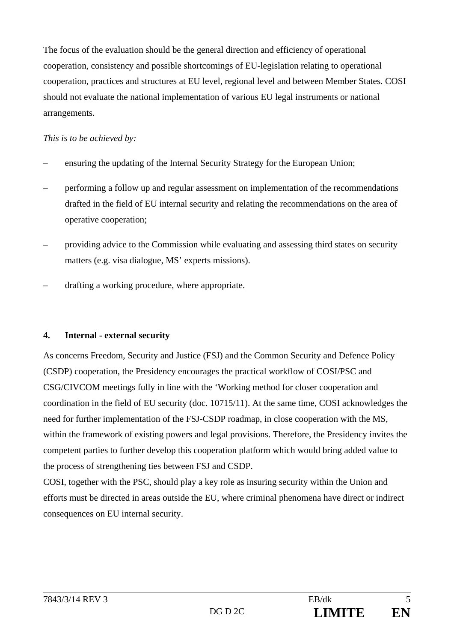The focus of the evaluation should be the general direction and efficiency of operational cooperation, consistency and possible shortcomings of EU-legislation relating to operational cooperation, practices and structures at EU level, regional level and between Member States. COSI should not evaluate the national implementation of various EU legal instruments or national arrangements.

# *This is to be achieved by:*

- ensuring the updating of the Internal Security Strategy for the European Union;
- performing a follow up and regular assessment on implementation of the recommendations drafted in the field of EU internal security and relating the recommendations on the area of operative cooperation;
- providing advice to the Commission while evaluating and assessing third states on security matters (e.g. visa dialogue, MS' experts missions).
- drafting a working procedure, where appropriate.

# **4. Internal - external security**

As concerns Freedom, Security and Justice (FSJ) and the Common Security and Defence Policy (CSDP) cooperation, the Presidency encourages the practical workflow of COSI/PSC and CSG/CIVCOM meetings fully in line with the 'Working method for closer cooperation and coordination in the field of EU security (doc. 10715/11). At the same time, COSI acknowledges the need for further implementation of the FSJ-CSDP roadmap, in close cooperation with the MS, within the framework of existing powers and legal provisions. Therefore, the Presidency invites the competent parties to further develop this cooperation platform which would bring added value to the process of strengthening ties between FSJ and CSDP.

COSI, together with the PSC, should play a key role as insuring security within the Union and efforts must be directed in areas outside the EU, where criminal phenomena have direct or indirect consequences on EU internal security.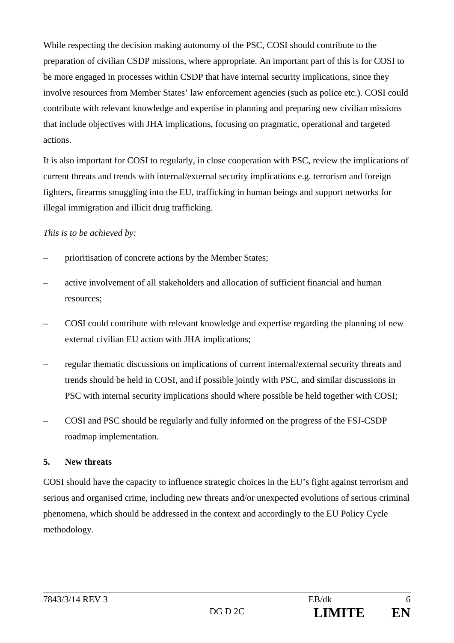While respecting the decision making autonomy of the PSC, COSI should contribute to the preparation of civilian CSDP missions, where appropriate. An important part of this is for COSI to be more engaged in processes within CSDP that have internal security implications, since they involve resources from Member States' law enforcement agencies (such as police etc.). COSI could contribute with relevant knowledge and expertise in planning and preparing new civilian missions that include objectives with JHA implications, focusing on pragmatic, operational and targeted actions.

It is also important for COSI to regularly, in close cooperation with PSC, review the implications of current threats and trends with internal/external security implications e.g. terrorism and foreign fighters, firearms smuggling into the EU, trafficking in human beings and support networks for illegal immigration and illicit drug trafficking.

## *This is to be achieved by:*

- prioritisation of concrete actions by the Member States;
- active involvement of all stakeholders and allocation of sufficient financial and human resources;
- COSI could contribute with relevant knowledge and expertise regarding the planning of new external civilian EU action with JHA implications;
- regular thematic discussions on implications of current internal/external security threats and trends should be held in COSI, and if possible jointly with PSC, and similar discussions in PSC with internal security implications should where possible be held together with COSI;
- COSI and PSC should be regularly and fully informed on the progress of the FSJ-CSDP roadmap implementation.

## **5. New threats**

COSI should have the capacity to influence strategic choices in the EU's fight against terrorism and serious and organised crime, including new threats and/or unexpected evolutions of serious criminal phenomena, which should be addressed in the context and accordingly to the EU Policy Cycle methodology.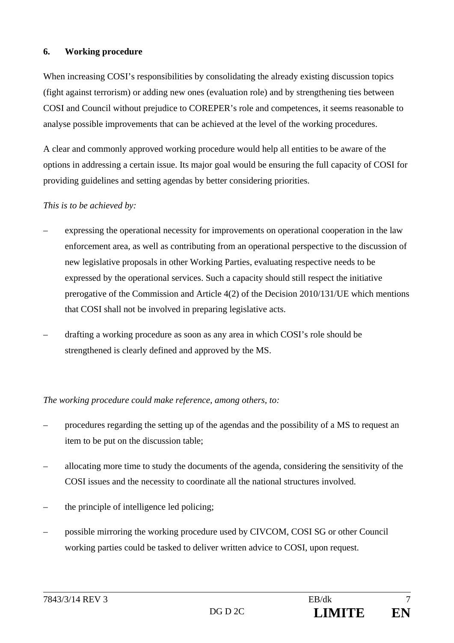# **6. Working procedure**

When increasing COSI's responsibilities by consolidating the already existing discussion topics (fight against terrorism) or adding new ones (evaluation role) and by strengthening ties between COSI and Council without prejudice to COREPER's role and competences, it seems reasonable to analyse possible improvements that can be achieved at the level of the working procedures.

A clear and commonly approved working procedure would help all entities to be aware of the options in addressing a certain issue. Its major goal would be ensuring the full capacity of COSI for providing guidelines and setting agendas by better considering priorities.

## *This is to be achieved by:*

- expressing the operational necessity for improvements on operational cooperation in the law enforcement area, as well as contributing from an operational perspective to the discussion of new legislative proposals in other Working Parties, evaluating respective needs to be expressed by the operational services. Such a capacity should still respect the initiative prerogative of the Commission and Article 4(2) of the Decision 2010/131/UE which mentions that COSI shall not be involved in preparing legislative acts.
- drafting a working procedure as soon as any area in which COSI's role should be strengthened is clearly defined and approved by the MS.

## *The working procedure could make reference, among others, to:*

- procedures regarding the setting up of the agendas and the possibility of a MS to request an item to be put on the discussion table;
- allocating more time to study the documents of the agenda, considering the sensitivity of the COSI issues and the necessity to coordinate all the national structures involved.
- the principle of intelligence led policing;
- possible mirroring the working procedure used by CIVCOM, COSI SG or other Council working parties could be tasked to deliver written advice to COSI, upon request.